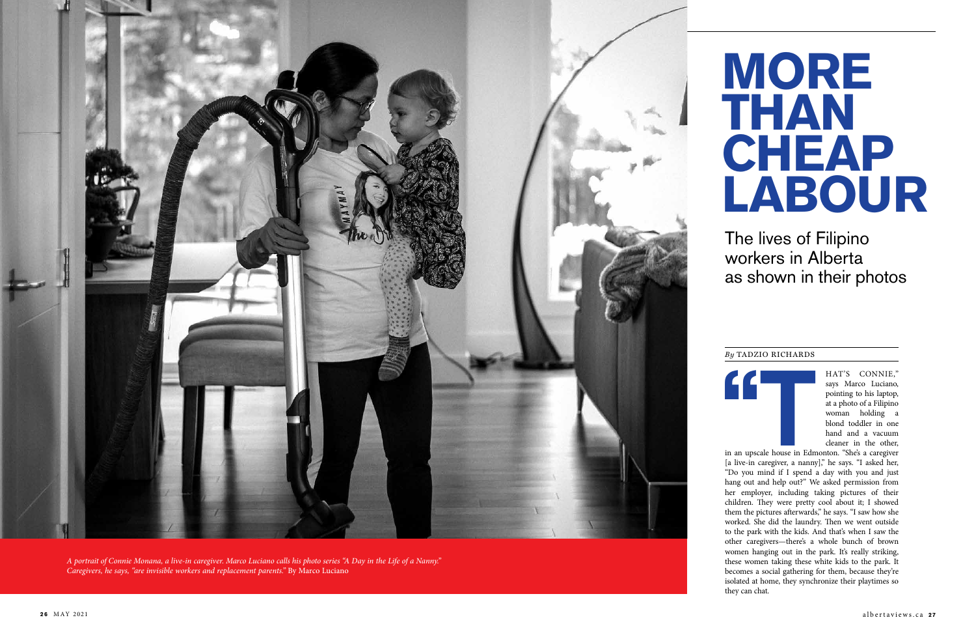HAT'S CONNIE,"<br>says Marco Luciano,<br>pointing to his laptop,<br>at a photo of a Filipino<br>woman holding a<br>blond toddler in one<br>hand and a vacuum<br>cleaner in the other,<br>in an upscale house in Edmonton. "She's a caregiver<br>[a live-i says Marco Luciano, pointing to his laptop, at a photo of a Filipino woman holding a blond toddler in one hand and a vacuum cleaner in the other,

in an upscale house in Edmonton. "She's a caregiver [a live-in caregiver, a nanny]," he says. "I asked her, "Do you mind if I spend a day with you and just hang out and help out?" We asked permission from her employer, including taking pictures of their children. They were pretty cool about it; I showed them the pictures afterwards," he says. "I saw how she worked. She did the laundry. Then we went outside to the park with the kids. And that's when I saw the other caregivers—there's a whole bunch of brown women hanging out in the park. It's really striking, these women taking these white kids to the park. It becomes a social gathering for them, because they're isolated at home, they synchronize their playtimes so they can chat.

# The lives of Filipino workers in Alberta as shown in their photos

#### *By* TADZIO RICHARDS

# **MORE THAN CHEAP LABOUR**



*A portrait of Connie Monana, a live-in caregiver. Marco Luciano calls his photo series "A Day in the Life of a Nanny." Caregivers, he says, "are invisible workers and replacement parents."* By Marco Luciano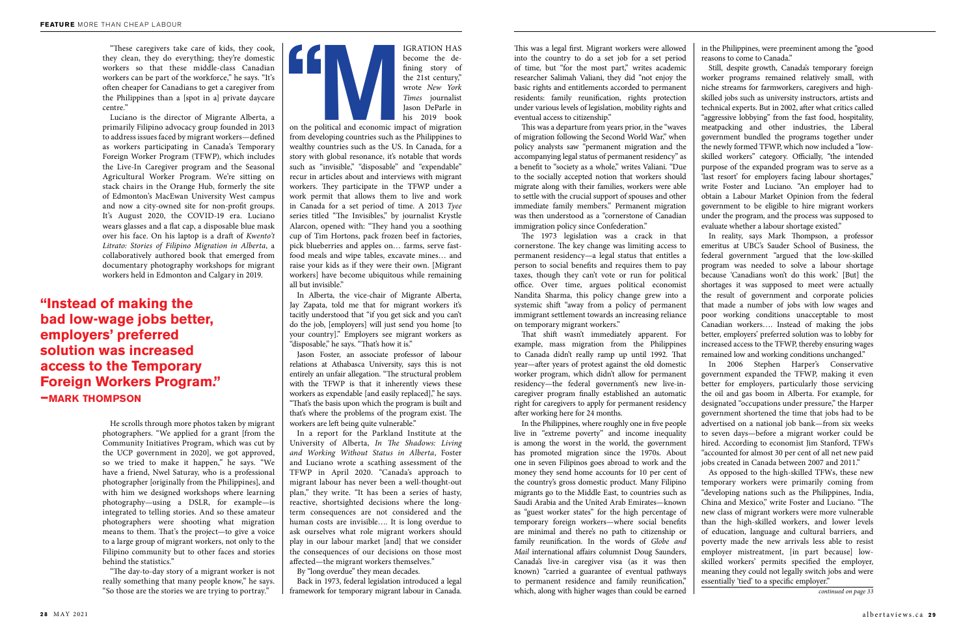This was a legal first. Migrant workers were allowed into the country to do a set job for a set period of time, but "for the most part," writes academic researcher Salimah Valiani, they did "not enjoy the basic rights and entitlements accorded to permanent residents: family reunification, rights protection under various levels of legislation, mobility rights and eventual access to citizenship."

This was a departure from years prior, in the "waves of migration following the Second World War," when policy analysts saw "permanent migration and the accompanying legal status of permanent residency" as a benefit to "society as a whole," writes Valiani. "Due to the socially accepted notion that workers should migrate along with their families, workers were able to settle with the crucial support of spouses and other immediate family members." Permanent migration was then understood as a "cornerstone of Canadian immigration policy since Confederation."

The 1973 legislation was a crack in that cornerstone. The key change was limiting access to permanent residency—a legal status that entitles a person to social benefits and requires them to pay taxes, though they can't vote or run for political office. Over time, argues political economist Nandita Sharma, this policy change grew into a systemic shift "away from a policy of permanent immigrant settlement towards an increasing reliance on temporary migrant workers."

That shift wasn't immediately apparent. For example, mass migration from the Philippines to Canada didn't really ramp up until 1992. That year—after years of protest against the old domestic worker program, which didn't allow for permanent residency—the federal government's new live-incaregiver program finally established an automatic right for caregivers to apply for permanent residency after working here for 24 months.

In the Philippines, where roughly one in five people live in "extreme poverty" and income inequality is among the worst in the world, the government has promoted migration since the 1970s. About one in seven Filipinos goes abroad to work and the money they send home accounts for 10 per cent of the country's gross domestic product. Many Filipino migrants go to the Middle East, to countries such as Saudi Arabia and the United Arab Emirates—known as "guest worker states" for the high percentage of temporary foreign workers—where social benefits are minimal and there's no path to citizenship or family reunification. In the words of *Globe and Mail* international affairs columnist Doug Saunders, Canada's live-in caregiver visa (as it was then known) "carried a guarantee of eventual pathways to permanent residence and family reunification," which, along with higher wages than could be earned

"These caregivers take care of kids, they cook, they clean, they do everything; they're domestic workers so that these middle-class Canadian workers can be part of the workforce," he says. "It's often cheaper for Canadians to get a caregiver from the Philippines than a [spot in a] private daycare centre."

Luciano is the director of Migrante Alberta, a primarily Filipino advocacy group founded in 2013 to address issues faced by migrant workers—defined as workers participating in Canada's Temporary Foreign Worker Program (TFWP), which includes the Live-In Caregiver program and the Seasonal Agricultural Worker Program. We're sitting on stack chairs in the Orange Hub, formerly the site of Edmonton's MacEwan University West campus and now a city-owned site for non-profit groups. It's August 2020, the COVID-19 era. Luciano wears glasses and a flat cap, a disposable blue mask over his face. On his laptop is a draft of *Kwento't Litrato: Stories of Filipino Migration in Alberta*, a collaboratively authored book that emerged from documentary photography workshops for migrant workers held in Edmonton and Calgary in 2019.

He scrolls through more photos taken by migrant photographers. "We applied for a grant [from the Community Initiatives Program, which was cut by the UCP government in 2020], we got approved, so we tried to make it happen," he says. "We have a friend, Nwel Saturay, who is a professional photographer [originally from the Philippines], and with him we designed workshops where learning photography—using a DSLR, for example—is integrated to telling stories. And so these amateur photographers were shooting what migration means to them. That's the project—to give a voice to a large group of migrant workers, not only to the Filipino community but to other faces and stories behind the statistics."

"The day-to-day story of a migrant worker is not really something that many people know," he says. "So those are the stories we are trying to portray."

in the Philippines, were preeminent among the "good reasons to come to Canada."

Still, despite growth, Canada's temporary foreign worker programs remained relatively small, with niche streams for farmworkers, caregivers and highskilled jobs such as university instructors, artists and technical experts. But in 2002, after what critics called "aggressive lobbying" from the fast food, hospitality, meatpacking and other industries, the Liberal government bundled the programs together under the newly formed TFWP, which now included a "lowskilled workers" category. Officially, "the intended purpose of the expanded program was to serve as a 'last resort' for employers facing labour shortages," write Foster and Luciano. "An employer had to obtain a Labour Market Opinion from the federal government to be eligible to hire migrant workers under the program, and the process was supposed to evaluate whether a labour shortage existed."

In reality, says Mark Thompson, a professor emeritus at UBC's Sauder School of Business, the federal government "argued that the low-skilled program was needed to solve a labour shortage because 'Canadians won't do this work.' [But] the shortages it was supposed to meet were actually the result of government and corporate policies that made a number of jobs with low wages and poor working conditions unacceptable to most Canadian workers…. Instead of making the jobs better, employers' preferred solution was to lobby for increased access to the TFWP, thereby ensuring wages remained low and working conditions unchanged."

In 2006 Stephen Harper's Conservative government expanded the TFWP, making it even better for employers, particularly those servicing the oil and gas boom in Alberta. For example, for designated "occupations under pressure," the Harper government shortened the time that jobs had to be advertised on a national job bank—from six weeks to seven days—before a migrant worker could be hired. According to economist Jim Stanford, TFWs "accounted for almost 30 per cent of all net new paid jobs created in Canada between 2007 and 2011."

As opposed to the high-skilled TFWs, these new temporary workers were primarily coming from "developing nations such as the Philippines, India, China and Mexico," write Foster and Luciano. "The new class of migrant workers were more vulnerable than the high-skilled workers, and lower levels of education, language and cultural barriers, and poverty made the new arrivals less able to resist employer mistreatment, [in part because] lowskilled workers' permits specified the employer, meaning they could not legally switch jobs and were essentially 'tied' to a specific employer."

## **"Instead of making the bad low-wage jobs better, employers' preferred solution was increased access to the Temporary Foreign Workers Program." —mark thompson**



become the defining story of the 21st century," wrote *New York Times* journalist Jason DeParle in his 2019 book

on the political and economic impact of migration from developing countries such as the Philippines to wealthy countries such as the US. In Canada, for a story with global resonance, it's notable that words such as "invisible," "disposable" and "expendable" recur in articles about and interviews with migrant workers. They participate in the TFWP under a work permit that allows them to live and work in Canada for a set period of time. A 2013 *Tyee* series titled "The Invisibles," by journalist Krystle Alarcon, opened with: "They hand you a soothing cup of Tim Hortons, pack frozen beef in factories, pick blueberries and apples on… farms, serve fastfood meals and wipe tables, excavate mines… and raise your kids as if they were their own. [Migrant workers] have become ubiquitous while remaining all but invisible."

In Alberta, the vice-chair of Migrante Alberta, Jay Zapata, told me that for migrant workers it's tacitly understood that "if you get sick and you can't do the job, [employers] will just send you home [to your country]." Employers see migrant workers as "disposable," he says. "That's how it is."

Jason Foster, an associate professor of labour relations at Athabasca University, says this is not entirely an unfair allegation. "The structural problem with the TFWP is that it inherently views these workers as expendable [and easily replaced]," he says. "That's the basis upon which the program is built and that's where the problems of the program exist. The workers are left being quite vulnerable."

In a report for the Parkland Institute at the University of Alberta, *In The Shadows: Living and Working Without Status in Alberta*, Foster and Luciano wrote a scathing assessment of the TFWP in April 2020. "Canada's approach to migrant labour has never been a well-thought-out plan," they write. "It has been a series of hasty, reactive, shortsighted decisions where the longterm consequences are not considered and the human costs are invisible…. It is long overdue to ask ourselves what role migrant workers should play in our labour market [and] that we consider the consequences of our decisions on those most affected—the migrant workers themselves."

By "long overdue" they mean decades.

Back in 1973, federal legislation introduced a legal framework for temporary migrant labour in Canada.

*continued on page 33*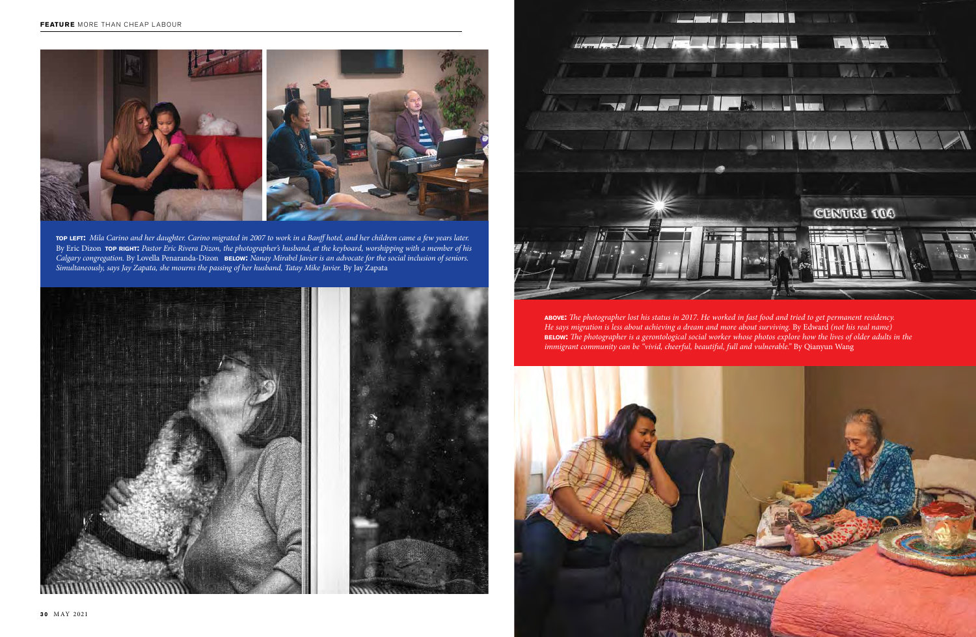



**above:** *The photographer lost his status in 2017. He worked in fast food and tried to get permanent residency. He says migration is less about achieving a dream and more about surviving.* By Edward *(not his real name)* **below:** *The photographer is a gerontological social worker whose photos explore how the lives of older adults in the immigrant community can be "vivid, cheerful, beautiful, full and vulnerable." By Qianyun Wang* 



**top left:** *Mila Carino and her daughter. Carino migrated in 2007 to work in a Banff hotel, and her children came a few years later.*  By Eric Dizon **TOP RIGHT:** Pastor Eric Rivera Dizon, the photographer's husband, at the keyboard, worshipping with a member of his *Calgary congregation.* By Lovella Penaranda-Dizon**below:** *Nanay Mirabel Javier is an advocate for the social inclusion of seniors. Simultaneously, says Jay Zapata, she mourns the passing of her husband, Tatay Mike Javier.* By Jay Zapata

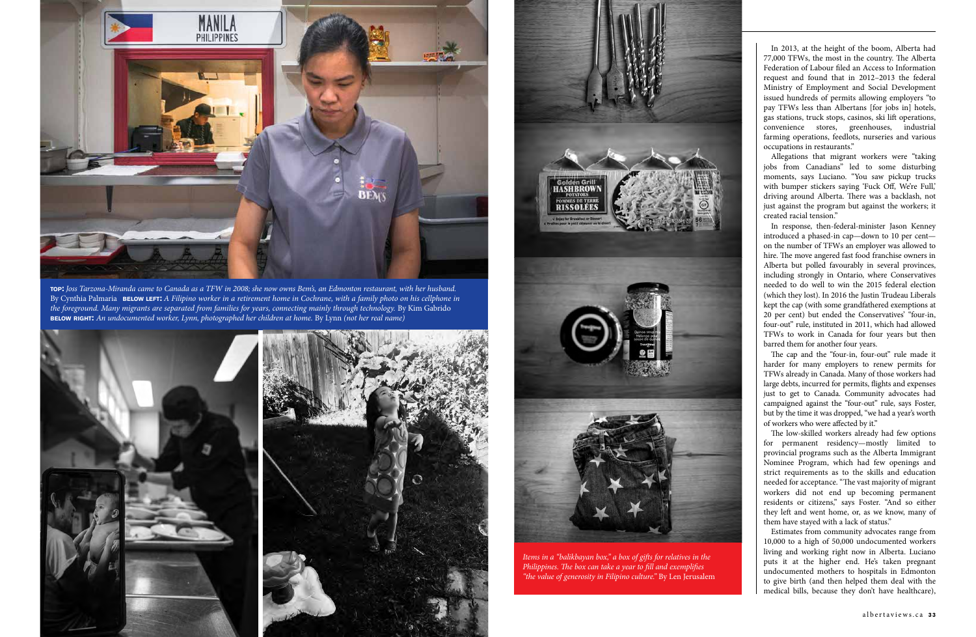

In 2013, at the height of the boom, Alberta had 77,000 TFWs, the most in the country. The Alberta Federation of Labour filed an Access to Information request and found that in 2012–2013 the federal Ministry of Employment and Social Development issued hundreds of permits allowing employers "to pay TFWs less than Albertans [for jobs in] hotels, gas stations, truck stops, casinos, ski lift operations, convenience stores, greenhouses, industrial farming operations, feedlots, nurseries and various occupations in restaurants."

Allegations that migrant workers were "taking jobs from Canadians" led to some disturbing moments, says Luciano. "You saw pickup trucks with bumper stickers saying 'Fuck Off, We're Full,' driving around Alberta. There was a backlash, not just against the program but against the workers; it created racial tension."

The cap and the "four-in, four-out" rule made it harder for many employers to renew permits for TFWs already in Canada. Many of those workers had large debts, incurred for permits, flights and expenses just to get to Canada. Community advocates had campaigned against the "four-out" rule, says Foster, but by the time it was dropped, "we had a year's worth of workers who were affected by it."

In response, then-federal-minister Jason Kenney introduced a phased-in cap—down to 10 per cent on the number of TFWs an employer was allowed to hire. The move angered fast food franchise owners in Alberta but polled favourably in several provinces, including strongly in Ontario, where Conservatives needed to do well to win the 2015 federal election (which they lost). In 2016 the Justin Trudeau Liberals kept the cap (with some grandfathered exemptions at 20 per cent) but ended the Conservatives' "four-in, four-out" rule, instituted in 2011, which had allowed TFWs to work in Canada for four years but then barred them for another four years.

The low-skilled workers already had few options for permanent residency—mostly limited to provincial programs such as the Alberta Immigrant Nominee Program, which had few openings and strict requirements as to the skills and education needed for acceptance. "The vast majority of migrant workers did not end up becoming permanent residents or citizens," says Foster. "And so either they left and went home, or, as we know, many of them have stayed with a lack of status."

Estimates from community advocates range from 10,000 to a high of 50,000 undocumented workers living and working right now in Alberta. Luciano puts it at the higher end. He's taken pregnant undocumented mothers to hospitals in Edmonton to give birth (and then helped them deal with the medical bills, because they don't have healthcare),

**top:** *Joss Tarzona-Miranda came to Canada as a TFW in 2008; she now owns Bem's, an Edmonton restaurant, with her husband.* By Cynthia Palmaria **BELOW LEFT:** A Filipino worker in a retirement home in Cochrane, with a family photo on his cellphone in *the foreground. Many migrants are separated from families for years, connecting mainly through technology.* By Kim Gabrido **below right:** *An undocumented worker, Lynn, photographed her children at home.* By Lynn *(not her real name)*







*Items in a "balikbayan box," a box of gifts for relatives in the Philippines. The box can take a year to fill and exemplifies "the value of generosity in Filipino culture."* By Len Jerusalem